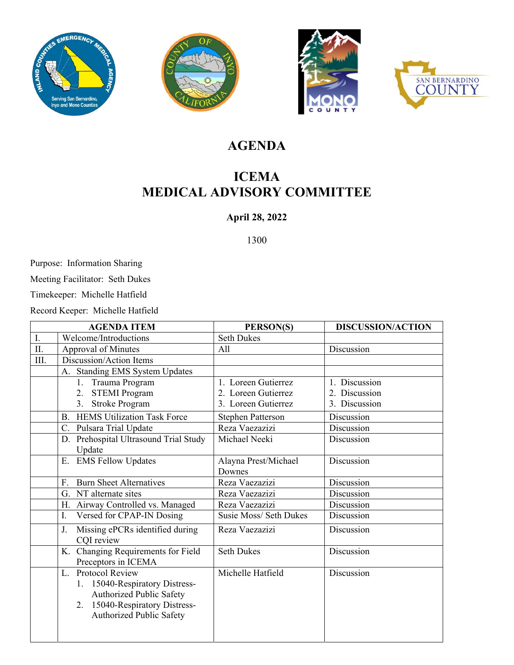







## **AGENDA**

## **ICEMA MEDICAL ADVISORY COMMITTEE**

#### **April 28, 2022**

1300

Purpose: Information Sharing

Meeting Facilitator: Seth Dukes

Timekeeper: Michelle Hatfield

Record Keeper: Michelle Hatfield

| <b>AGENDA ITEM</b> |                                                                                                                                                | PERSON(S)                | <b>DISCUSSION/ACTION</b> |  |
|--------------------|------------------------------------------------------------------------------------------------------------------------------------------------|--------------------------|--------------------------|--|
| I.                 | Welcome/Introductions                                                                                                                          | <b>Seth Dukes</b>        |                          |  |
| $\rm{II}.$         | <b>Approval of Minutes</b>                                                                                                                     | All                      | Discussion               |  |
| III.               | Discussion/Action Items                                                                                                                        |                          |                          |  |
|                    | <b>Standing EMS System Updates</b><br>A.                                                                                                       |                          |                          |  |
|                    | Trauma Program<br>1.                                                                                                                           | 1. Loreen Gutierrez      | 1. Discussion            |  |
|                    | 2. STEMI Program                                                                                                                               | 2. Loreen Gutierrez      | 2. Discussion            |  |
|                    | 3. Stroke Program                                                                                                                              | 3. Loreen Gutierrez      | 3. Discussion            |  |
|                    | <b>B.</b> HEMS Utilization Task Force                                                                                                          | <b>Stephen Patterson</b> | Discussion               |  |
|                    | Pulsara Trial Update<br>C.                                                                                                                     | Reza Vaezazizi           | Discussion               |  |
|                    | D. Prehospital Ultrasound Trial Study                                                                                                          | Michael Neeki            | Discussion               |  |
|                    | Update                                                                                                                                         |                          |                          |  |
|                    | E. EMS Fellow Updates                                                                                                                          | Alayna Prest/Michael     | Discussion               |  |
|                    |                                                                                                                                                | Downes                   |                          |  |
|                    | <b>Burn Sheet Alternatives</b><br>F.                                                                                                           | Reza Vaezazizi           | Discussion               |  |
|                    | G. NT alternate sites                                                                                                                          | Reza Vaezazizi           | Discussion               |  |
|                    | H. Airway Controlled vs. Managed                                                                                                               | Reza Vaezazizi           | Discussion               |  |
|                    | Versed for CPAP-IN Dosing<br>I.                                                                                                                | Susie Moss/ Seth Dukes   | Discussion               |  |
|                    | Missing ePCRs identified during<br>J.<br>CQI review                                                                                            | Reza Vaezazizi           | Discussion               |  |
|                    | <b>Changing Requirements for Field</b><br>K.<br>Preceptors in ICEMA                                                                            | <b>Seth Dukes</b>        | Discussion               |  |
|                    | L. Protocol Review<br>1. 15040-Respiratory Distress-<br>Authorized Public Safety<br>2. 15040-Respiratory Distress-<br>Authorized Public Safety | Michelle Hatfield        | Discussion               |  |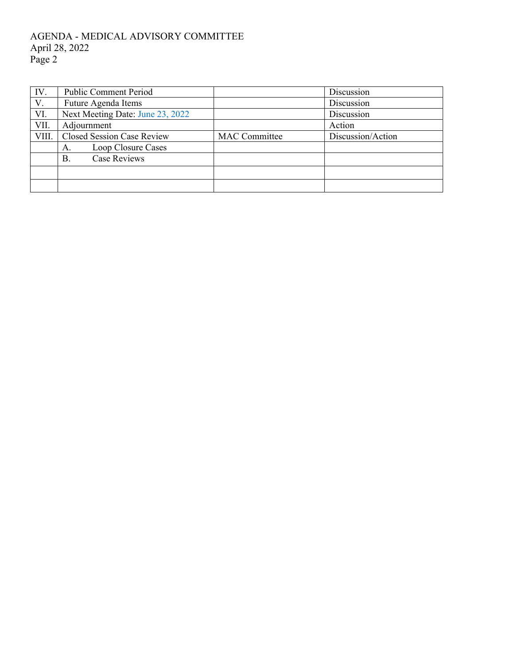#### AGENDA - MEDICAL ADVISORY COMMITTEE April 28, 2022 Page 2

| IV.   | Public Comment Period             |                      | Discussion        |  |
|-------|-----------------------------------|----------------------|-------------------|--|
| V.    | Future Agenda Items               |                      | Discussion        |  |
| VI.   | Next Meeting Date: June 23, 2022  |                      | Discussion        |  |
| VII.  | Adjournment                       |                      | Action            |  |
| VIII. | <b>Closed Session Case Review</b> | <b>MAC</b> Committee | Discussion/Action |  |
|       | Loop Closure Cases<br>А.          |                      |                   |  |
|       | <b>Case Reviews</b><br>В.         |                      |                   |  |
|       |                                   |                      |                   |  |
|       |                                   |                      |                   |  |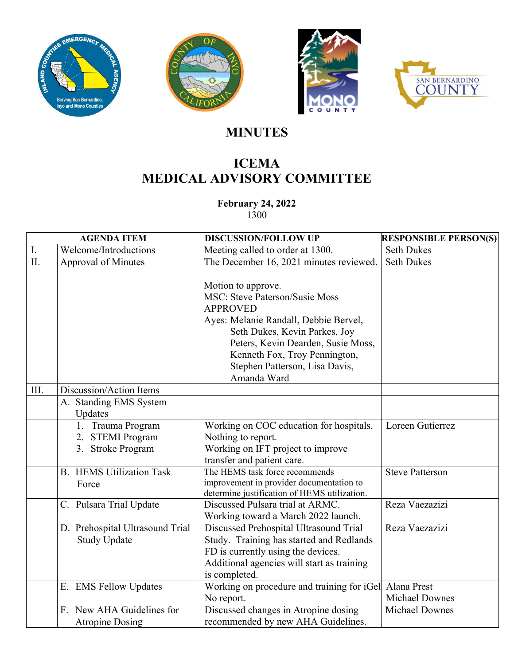







# **MINUTES**

## **ICEMA MEDICAL ADVISORY COMMITTEE**

**February 24, 2022**  1300

| <b>AGENDA ITEM</b> |                                          | <b>DISCUSSION/FOLLOW UP</b>                                                                                                                                                     | <b>RESPONSIBLE PERSON(S)</b> |
|--------------------|------------------------------------------|---------------------------------------------------------------------------------------------------------------------------------------------------------------------------------|------------------------------|
| ${\rm I}.$         | Welcome/Introductions                    | Meeting called to order at 1300.                                                                                                                                                | <b>Seth Dukes</b>            |
| II.                | <b>Approval of Minutes</b>               | The December 16, 2021 minutes reviewed.<br>Motion to approve.                                                                                                                   | <b>Seth Dukes</b>            |
|                    |                                          | <b>MSC: Steve Paterson/Susie Moss</b><br><b>APPROVED</b>                                                                                                                        |                              |
|                    |                                          | Ayes: Melanie Randall, Debbie Bervel,<br>Seth Dukes, Kevin Parkes, Joy<br>Peters, Kevin Dearden, Susie Moss,<br>Kenneth Fox, Troy Pennington,<br>Stephen Patterson, Lisa Davis, |                              |
|                    |                                          | Amanda Ward                                                                                                                                                                     |                              |
| III.               | Discussion/Action Items                  |                                                                                                                                                                                 |                              |
|                    | A. Standing EMS System<br>Updates        |                                                                                                                                                                                 |                              |
|                    | 1. Trauma Program                        | Working on COC education for hospitals.                                                                                                                                         | Loreen Gutierrez             |
|                    | 2. STEMI Program                         | Nothing to report.                                                                                                                                                              |                              |
|                    | 3. Stroke Program                        | Working on IFT project to improve                                                                                                                                               |                              |
|                    |                                          | transfer and patient care.                                                                                                                                                      |                              |
|                    | <b>B.</b> HEMS Utilization Task<br>Force | The HEMS task force recommends<br>improvement in provider documentation to<br>determine justification of HEMS utilization.                                                      | <b>Steve Patterson</b>       |
|                    | C. Pulsara Trial Update                  | Discussed Pulsara trial at ARMC.<br>Working toward a March 2022 launch.                                                                                                         | Reza Vaezazizi               |
|                    | D. Prehospital Ultrasound Trial          | Discussed Prehospital Ultrasound Trial                                                                                                                                          | Reza Vaezazizi               |
|                    | <b>Study Update</b>                      | Study. Training has started and Redlands                                                                                                                                        |                              |
|                    |                                          | FD is currently using the devices.                                                                                                                                              |                              |
|                    |                                          | Additional agencies will start as training<br>is completed.                                                                                                                     |                              |
|                    | E. EMS Fellow Updates                    | Working on procedure and training for iGel                                                                                                                                      | Alana Prest                  |
|                    |                                          | No report.                                                                                                                                                                      | <b>Michael Downes</b>        |
|                    | F. New AHA Guidelines for                | Discussed changes in Atropine dosing                                                                                                                                            | <b>Michael Downes</b>        |
|                    | <b>Atropine Dosing</b>                   | recommended by new AHA Guidelines.                                                                                                                                              |                              |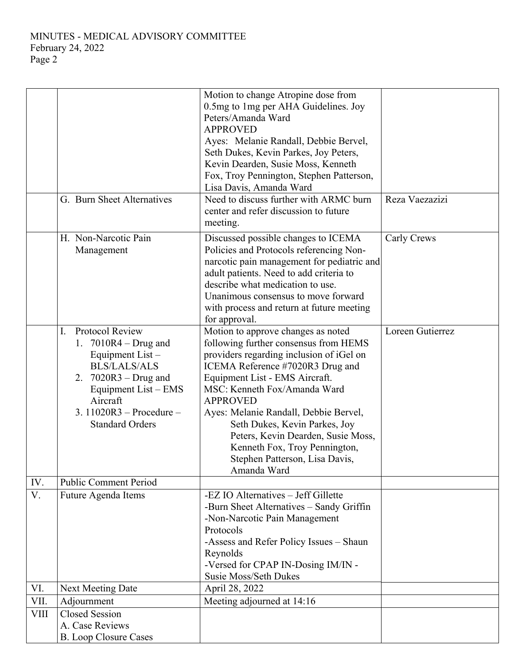MINUTES - MEDICAL ADVISORY COMMITTEE February 24, 2022 Page 2

|             |                                                                                                                                                                                                                   | Motion to change Atropine dose from<br>0.5mg to 1mg per AHA Guidelines. Joy<br>Peters/Amanda Ward<br><b>APPROVED</b><br>Ayes: Melanie Randall, Debbie Bervel,<br>Seth Dukes, Kevin Parkes, Joy Peters,<br>Kevin Dearden, Susie Moss, Kenneth<br>Fox, Troy Pennington, Stephen Patterson,<br>Lisa Davis, Amanda Ward                                                                                                                                |                  |
|-------------|-------------------------------------------------------------------------------------------------------------------------------------------------------------------------------------------------------------------|----------------------------------------------------------------------------------------------------------------------------------------------------------------------------------------------------------------------------------------------------------------------------------------------------------------------------------------------------------------------------------------------------------------------------------------------------|------------------|
|             | G. Burn Sheet Alternatives                                                                                                                                                                                        | Need to discuss further with ARMC burn<br>center and refer discussion to future<br>meeting.                                                                                                                                                                                                                                                                                                                                                        | Reza Vaezazizi   |
|             | H. Non-Narcotic Pain<br>Management                                                                                                                                                                                | Discussed possible changes to ICEMA<br>Policies and Protocols referencing Non-<br>narcotic pain management for pediatric and<br>adult patients. Need to add criteria to<br>describe what medication to use.<br>Unanimous consensus to move forward<br>with process and return at future meeting<br>for approval.                                                                                                                                   | Carly Crews      |
|             | Protocol Review<br>I.<br>7010R4 - Drug and<br>1.<br>Equipment List -<br><b>BLS/LALS/ALS</b><br>2. $7020R3 - Drug$ and<br>Equipment List – EMS<br>Aircraft<br>3. $11020R3 - Procedure -$<br><b>Standard Orders</b> | Motion to approve changes as noted<br>following further consensus from HEMS<br>providers regarding inclusion of iGel on<br>ICEMA Reference #7020R3 Drug and<br>Equipment List - EMS Aircraft.<br>MSC: Kenneth Fox/Amanda Ward<br><b>APPROVED</b><br>Ayes: Melanie Randall, Debbie Bervel,<br>Seth Dukes, Kevin Parkes, Joy<br>Peters, Kevin Dearden, Susie Moss,<br>Kenneth Fox, Troy Pennington,<br>Stephen Patterson, Lisa Davis,<br>Amanda Ward | Loreen Gutierrez |
| IV.         | <b>Public Comment Period</b>                                                                                                                                                                                      |                                                                                                                                                                                                                                                                                                                                                                                                                                                    |                  |
| V.          | Future Agenda Items                                                                                                                                                                                               | -EZ IO Alternatives - Jeff Gillette<br>-Burn Sheet Alternatives - Sandy Griffin<br>-Non-Narcotic Pain Management<br>Protocols<br>-Assess and Refer Policy Issues - Shaun<br>Reynolds<br>-Versed for CPAP IN-Dosing IM/IN -<br>Susie Moss/Seth Dukes                                                                                                                                                                                                |                  |
| VI.         | <b>Next Meeting Date</b>                                                                                                                                                                                          | April 28, 2022                                                                                                                                                                                                                                                                                                                                                                                                                                     |                  |
| VII.        | Adjournment                                                                                                                                                                                                       | Meeting adjourned at 14:16                                                                                                                                                                                                                                                                                                                                                                                                                         |                  |
| <b>VIII</b> | <b>Closed Session</b><br>A. Case Reviews<br><b>B.</b> Loop Closure Cases                                                                                                                                          |                                                                                                                                                                                                                                                                                                                                                                                                                                                    |                  |